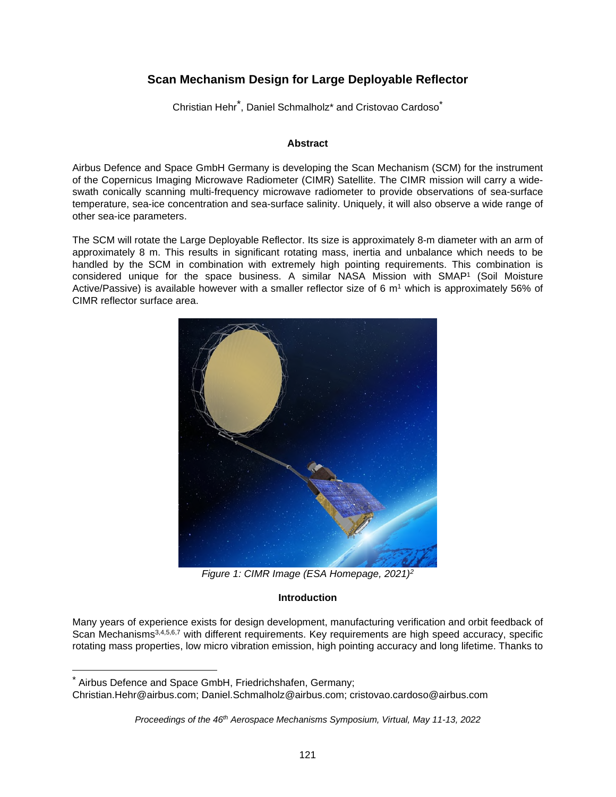### **Scan Mechanism Design for Large Deployable Reflector**

Christian Hehr<sup>[\\*](#page-0-0)</sup>, Daniel Schmalholz\* and Cristovao Cardoso<sup>\*</sup>

#### **Abstract**

Airbus Defence and Space GmbH Germany is developing the Scan Mechanism (SCM) for the instrument of the Copernicus Imaging Microwave Radiometer (CIMR) Satellite. The CIMR mission will carry a wideswath conically scanning multi-frequency microwave radiometer to provide observations of sea-surface temperature, sea-ice concentration and sea-surface salinity. Uniquely, it will also observe a wide range of other sea-ice parameters.

The SCM will rotate the Large Deployable Reflector. Its size is approximately 8-m diameter with an arm of approximately 8 m. This results in significant rotating mass, inertia and unbalance which needs to be handled by the SCM in combination with extremely high pointing requirements. This combination is considered unique for the space business. A similar NASA Mission with SMAP<sup>1</sup> (Soil Moisture Active/Passive) is available however with a smaller reflector size of 6 m<sup>1</sup> which is approximately 56% of CIMR reflector surface area.



*Figure 1: CIMR Image (ESA Homepage, 2021)<sup>2</sup>*

#### **Introduction**

Many years of experience exists for design development, manufacturing verification and orbit feedback of Scan Mechanisms<sup>3,4,5,6,7</sup> with different requirements. Key requirements are high speed accuracy, specific rotating mass properties, low micro vibration emission, high pointing accuracy and long lifetime. Thanks to

<span id="page-0-0"></span><sup>\*</sup> Airbus Defence and Space GmbH, Friedrichshafen, Germany;

Christian.Hehr@airbus.com; Daniel.Schmalholz@airbus.com; cristovao.cardoso@airbus.com

*Proceedings of the 46th Aerospace Mechanisms Symposium, Virtual, May 11-13, 2022*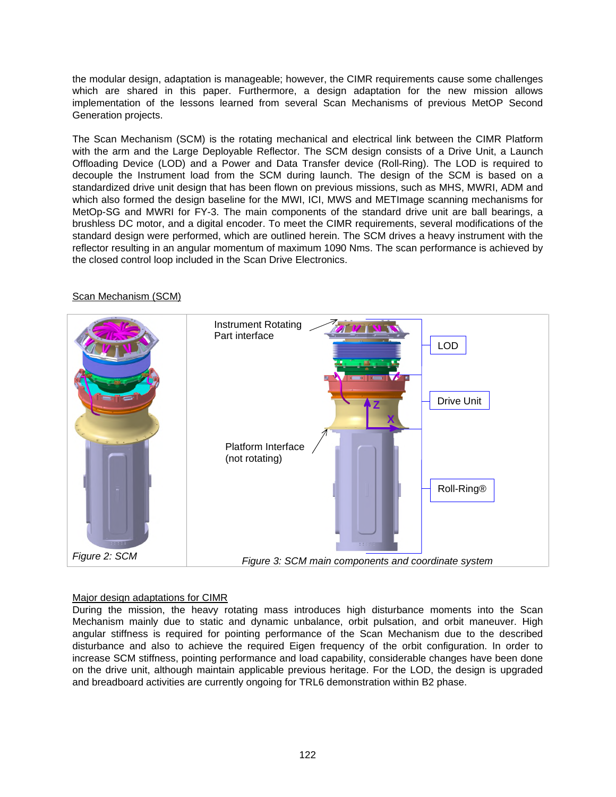the modular design, adaptation is manageable; however, the CIMR requirements cause some challenges which are shared in this paper. Furthermore, a design adaptation for the new mission allows implementation of the lessons learned from several Scan Mechanisms of previous MetOP Second Generation projects.

The Scan Mechanism (SCM) is the rotating mechanical and electrical link between the CIMR Platform with the arm and the Large Deployable Reflector. The SCM design consists of a Drive Unit, a Launch Offloading Device (LOD) and a Power and Data Transfer device (Roll-Ring). The LOD is required to decouple the Instrument load from the SCM during launch. The design of the SCM is based on a standardized drive unit design that has been flown on previous missions, such as MHS, MWRI, ADM and which also formed the design baseline for the MWI, ICI, MWS and METImage scanning mechanisms for MetOp-SG and MWRI for FY-3. The main components of the standard drive unit are ball bearings, a brushless DC motor, and a digital encoder. To meet the CIMR requirements, several modifications of the standard design were performed, which are outlined herein. The SCM drives a heavy instrument with the reflector resulting in an angular momentum of maximum 1090 Nms. The scan performance is achieved by the closed control loop included in the Scan Drive Electronics.

# Instrument Rotating TVN Part interface LOD Drive Unit **Z X**Platform Interface (not rotating) Roll-Ring® *Figure 2: SCM Figure 3: SCM main components and coordinate system*

#### Scan Mechanism (SCM)

#### Major design adaptations for CIMR

During the mission, the heavy rotating mass introduces high disturbance moments into the Scan Mechanism mainly due to static and dynamic unbalance, orbit pulsation, and orbit maneuver. High angular stiffness is required for pointing performance of the Scan Mechanism due to the described disturbance and also to achieve the required Eigen frequency of the orbit configuration. In order to increase SCM stiffness, pointing performance and load capability, considerable changes have been done on the drive unit, although maintain applicable previous heritage. For the LOD, the design is upgraded and breadboard activities are currently ongoing for TRL6 demonstration within B2 phase.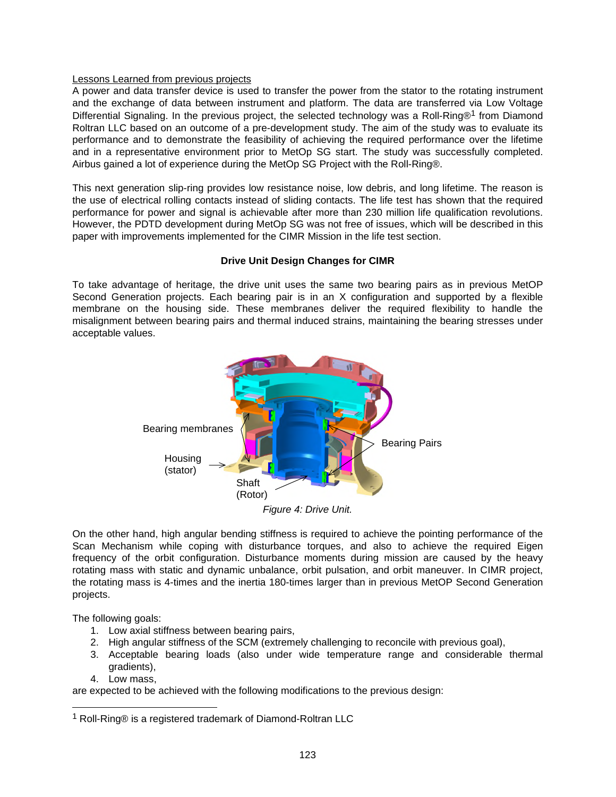#### Lessons Learned from previous projects

A power and data transfer device is used to transfer the power from the stator to the rotating instrument and the exchange of data between instrument and platform. The data are transferred via Low Voltage Differential Signaling. In the previous project, the selected technology was a Roll-Ring®<sup>[1](#page-2-0)</sup> from Diamond Roltran LLC based on an outcome of a pre-development study. The aim of the study was to evaluate its performance and to demonstrate the feasibility of achieving the required performance over the lifetime and in a representative environment prior to MetOp SG start. The study was successfully completed. Airbus gained a lot of experience during the MetOp SG Project with the Roll-Ring®.

This next generation slip-ring provides low resistance noise, low debris, and long lifetime. The reason is the use of electrical rolling contacts instead of sliding contacts. The life test has shown that the required performance for power and signal is achievable after more than 230 million life qualification revolutions. However, the PDTD development during MetOp SG was not free of issues, which will be described in this paper with improvements implemented for the CIMR Mission in the life test section.

#### **Drive Unit Design Changes for CIMR**

To take advantage of heritage, the drive unit uses the same two bearing pairs as in previous MetOP Second Generation projects. Each bearing pair is in an X configuration and supported by a flexible membrane on the housing side. These membranes deliver the required flexibility to handle the misalignment between bearing pairs and thermal induced strains, maintaining the bearing stresses under acceptable values.



*Figure 4: Drive Unit.* 

On the other hand, high angular bending stiffness is required to achieve the pointing performance of the Scan Mechanism while coping with disturbance torques, and also to achieve the required Eigen frequency of the orbit configuration. Disturbance moments during mission are caused by the heavy rotating mass with static and dynamic unbalance, orbit pulsation, and orbit maneuver. In CIMR project, the rotating mass is 4-times and the inertia 180-times larger than in previous MetOP Second Generation projects.

The following goals:

- 1. Low axial stiffness between bearing pairs,
- 2. High angular stiffness of the SCM (extremely challenging to reconcile with previous goal),
- 3. Acceptable bearing loads (also under wide temperature range and considerable thermal gradients),
- 4. Low mass,

are expected to be achieved with the following modifications to the previous design:

<span id="page-2-0"></span> $1$  Roll-Ring® is a registered trademark of Diamond-Roltran LLC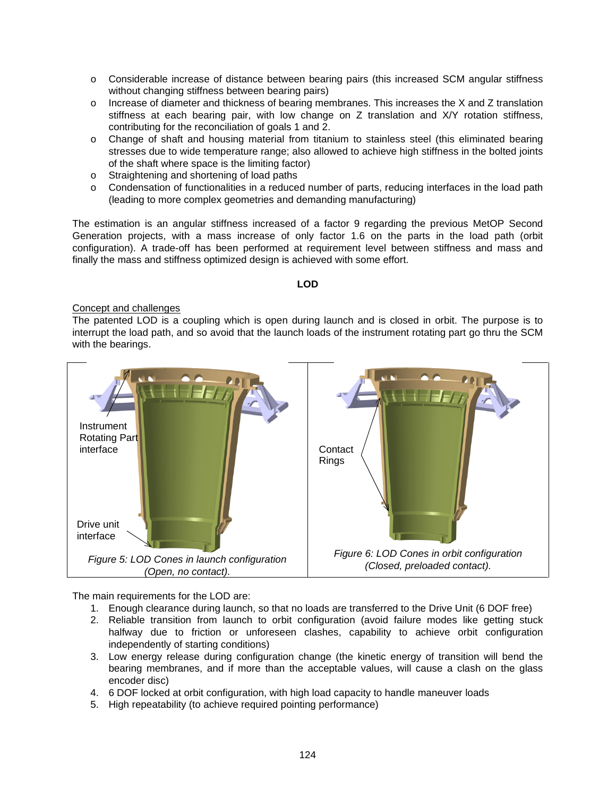- o Considerable increase of distance between bearing pairs (this increased SCM angular stiffness without changing stiffness between bearing pairs)
- o Increase of diameter and thickness of bearing membranes. This increases the X and Z translation stiffness at each bearing pair, with low change on Z translation and X/Y rotation stiffness, contributing for the reconciliation of goals 1 and 2.
- o Change of shaft and housing material from titanium to stainless steel (this eliminated bearing stresses due to wide temperature range; also allowed to achieve high stiffness in the bolted joints of the shaft where space is the limiting factor)
- o Straightening and shortening of load paths
- o Condensation of functionalities in a reduced number of parts, reducing interfaces in the load path (leading to more complex geometries and demanding manufacturing)

The estimation is an angular stiffness increased of a factor 9 regarding the previous MetOP Second Generation projects, with a mass increase of only factor 1.6 on the parts in the load path (orbit configuration). A trade-off has been performed at requirement level between stiffness and mass and finally the mass and stiffness optimized design is achieved with some effort.

#### **LOD**

#### Concept and challenges

The patented LOD is a coupling which is open during launch and is closed in orbit. The purpose is to interrupt the load path, and so avoid that the launch loads of the instrument rotating part go thru the SCM with the bearings.



The main requirements for the LOD are:

- 1. Enough clearance during launch, so that no loads are transferred to the Drive Unit (6 DOF free)
- 2. Reliable transition from launch to orbit configuration (avoid failure modes like getting stuck halfway due to friction or unforeseen clashes, capability to achieve orbit configuration independently of starting conditions)
- 3. Low energy release during configuration change (the kinetic energy of transition will bend the bearing membranes, and if more than the acceptable values, will cause a clash on the glass encoder disc)
- 4. 6 DOF locked at orbit configuration, with high load capacity to handle maneuver loads
- 5. High repeatability (to achieve required pointing performance)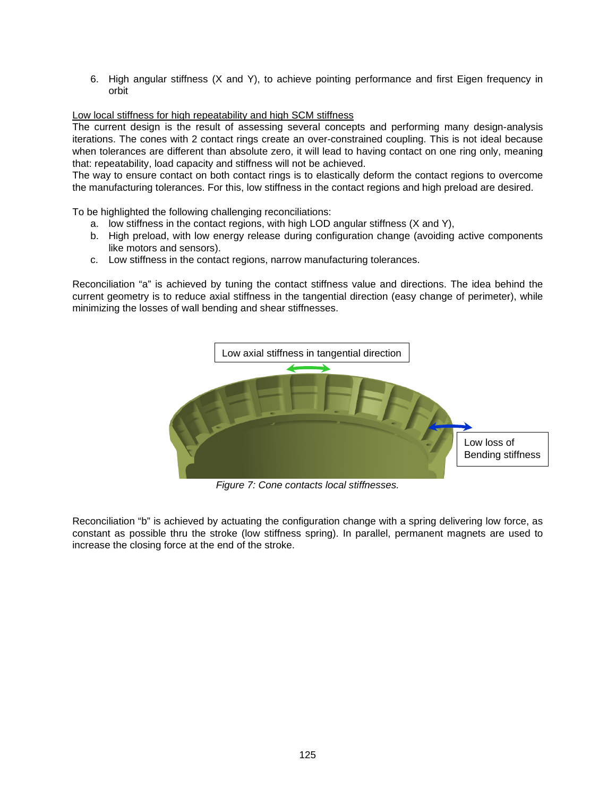6. High angular stiffness (X and Y), to achieve pointing performance and first Eigen frequency in orbit

#### Low local stiffness for high repeatability and high SCM stiffness

The current design is the result of assessing several concepts and performing many design-analysis iterations. The cones with 2 contact rings create an over-constrained coupling. This is not ideal because when tolerances are different than absolute zero, it will lead to having contact on one ring only, meaning that: repeatability, load capacity and stiffness will not be achieved.

The way to ensure contact on both contact rings is to elastically deform the contact regions to overcome the manufacturing tolerances. For this, low stiffness in the contact regions and high preload are desired.

To be highlighted the following challenging reconciliations:

- a. low stiffness in the contact regions, with high LOD angular stiffness (X and Y),
- b. High preload, with low energy release during configuration change (avoiding active components like motors and sensors).
- c. Low stiffness in the contact regions, narrow manufacturing tolerances.

Reconciliation "a" is achieved by tuning the contact stiffness value and directions. The idea behind the current geometry is to reduce axial stiffness in the tangential direction (easy change of perimeter), while minimizing the losses of wall bending and shear stiffnesses.



*Figure 7: Cone contacts local stiffnesses.* 

Reconciliation "b" is achieved by actuating the configuration change with a spring delivering low force, as constant as possible thru the stroke (low stiffness spring). In parallel, permanent magnets are used to increase the closing force at the end of the stroke.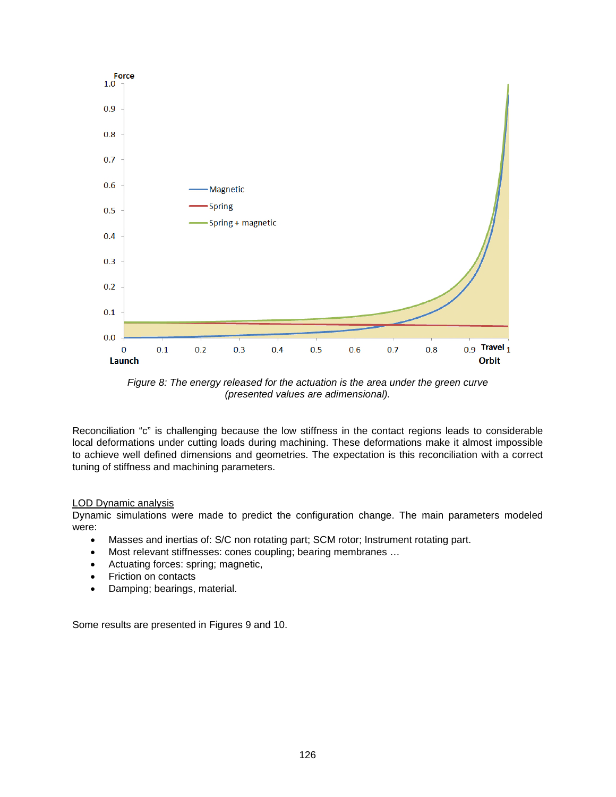

*Figure 8: The energy released for the actuation is the area under the green curve (presented values are adimensional).* 

Reconciliation "c" is challenging because the low stiffness in the contact regions leads to considerable local deformations under cutting loads during machining. These deformations make it almost impossible to achieve well defined dimensions and geometries. The expectation is this reconciliation with a correct tuning of stiffness and machining parameters.

#### LOD Dynamic analysis

Dynamic simulations were made to predict the configuration change. The main parameters modeled were:

- Masses and inertias of: S/C non rotating part; SCM rotor; Instrument rotating part.
- Most relevant stiffnesses: cones coupling; bearing membranes …
- Actuating forces: spring; magnetic,
- Friction on contacts
- Damping; bearings, material.

Some results are presented in Figures 9 and 10.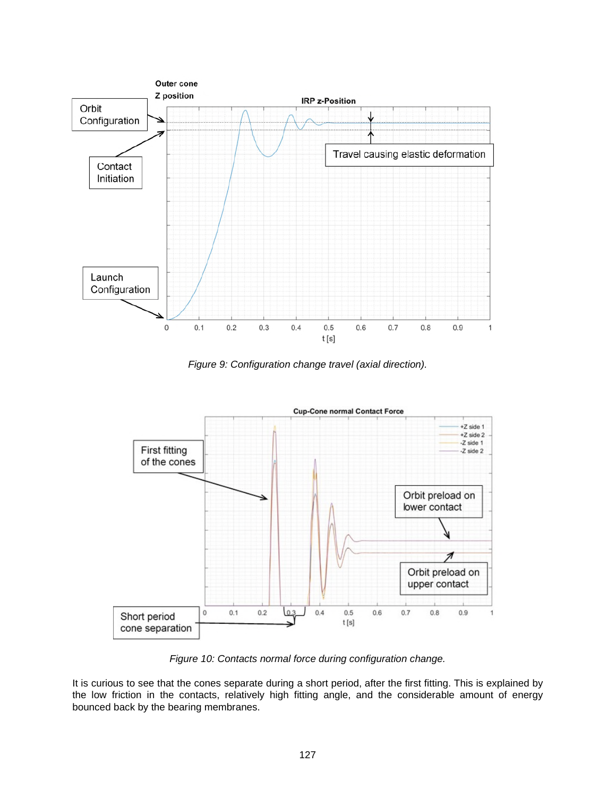

*Figure 9: Configuration change travel (axial direction).* 



*Figure 10: Contacts normal force during configuration change.* 

It is curious to see that the cones separate during a short period, after the first fitting. This is explained by the low friction in the contacts, relatively high fitting angle, and the considerable amount of energy bounced back by the bearing membranes.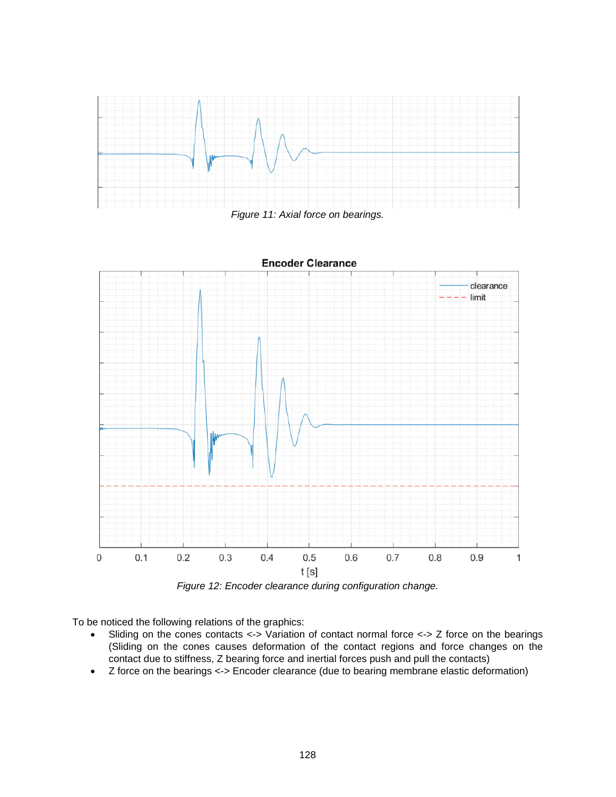

*Figure 11: Axial force on bearings.* 



*Figure 12: Encoder clearance during configuration change.* 

To be noticed the following relations of the graphics:

- Sliding on the cones contacts <-> Variation of contact normal force <-> Z force on the bearings (Sliding on the cones causes deformation of the contact regions and force changes on the contact due to stiffness, Z bearing force and inertial forces push and pull the contacts)
- Z force on the bearings <-> Encoder clearance (due to bearing membrane elastic deformation)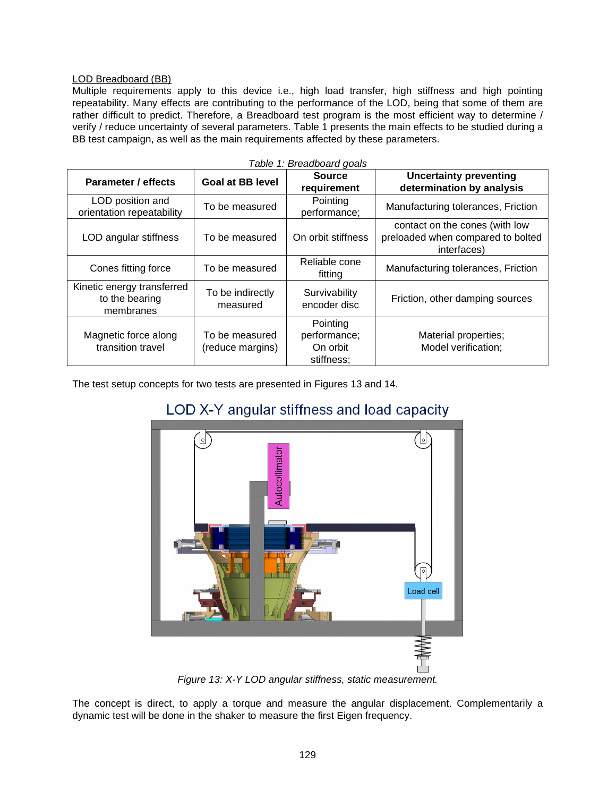#### LOD Breadboard (BB)

Multiple requirements apply to this device i.e., high load transfer, high stiffness and high pointing repeatability. Many effects are contributing to the performance of the LOD, being that some of them are rather difficult to predict. Therefore, a Breadboard test program is the most efficient way to determine / verify / reduce uncertainty of several parameters. Table 1 presents the main effects to be studied during a BB test campaign, as well as the main requirements affected by these parameters.

| Parameter / effects                                       | <b>Goal at BB level</b>            | <b>Source</b>                                      | <b>Uncertainty preventing</b>                                                      |
|-----------------------------------------------------------|------------------------------------|----------------------------------------------------|------------------------------------------------------------------------------------|
|                                                           |                                    | requirement                                        | determination by analysis                                                          |
| LOD position and<br>orientation repeatability             | To be measured                     | Pointing<br>performance;                           | Manufacturing tolerances, Friction                                                 |
| LOD angular stiffness                                     | To be measured                     | On orbit stiffness                                 | contact on the cones (with low<br>preloaded when compared to bolted<br>interfaces) |
| Cones fitting force                                       | To be measured                     | Reliable cone<br>fitting                           | Manufacturing tolerances, Friction                                                 |
| Kinetic energy transferred<br>to the bearing<br>membranes | To be indirectly<br>measured       | Survivability<br>encoder disc                      | Friction, other damping sources                                                    |
| Magnetic force along<br>transition travel                 | To be measured<br>(reduce margins) | Pointing<br>performance;<br>On orbit<br>stiffness; | Material properties;<br>Model verification;                                        |

The test setup concepts for two tests are presented in Figures 13 and 14.

## LOD X-Y angular stiffness and load capacity



*Figure 13: X-Y LOD angular stiffness, static measurement.* 

The concept is direct, to apply a torque and measure the angular displacement. Complementarily a dynamic test will be done in the shaker to measure the first Eigen frequency.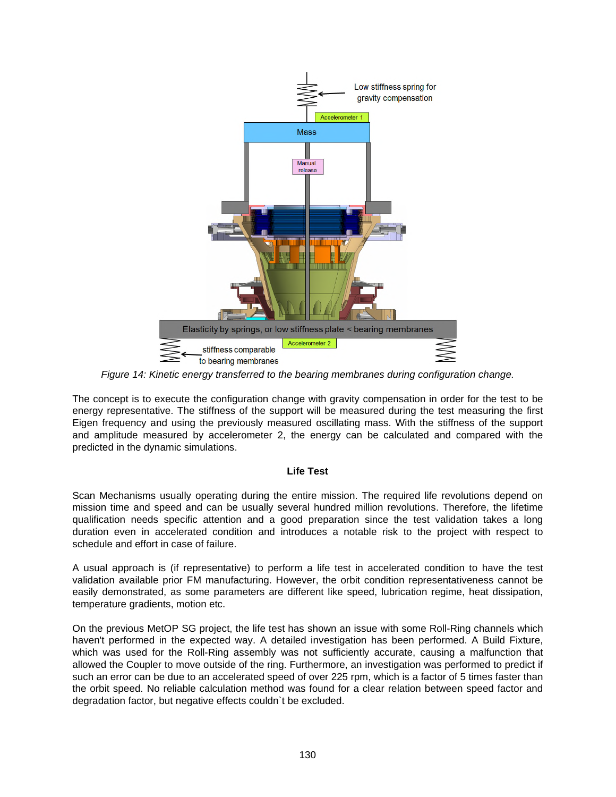

*Figure 14: Kinetic energy transferred to the bearing membranes during configuration change.* 

The concept is to execute the configuration change with gravity compensation in order for the test to be energy representative. The stiffness of the support will be measured during the test measuring the first Eigen frequency and using the previously measured oscillating mass. With the stiffness of the support and amplitude measured by accelerometer 2, the energy can be calculated and compared with the predicted in the dynamic simulations.

#### **Life Test**

Scan Mechanisms usually operating during the entire mission. The required life revolutions depend on mission time and speed and can be usually several hundred million revolutions. Therefore, the lifetime qualification needs specific attention and a good preparation since the test validation takes a long duration even in accelerated condition and introduces a notable risk to the project with respect to schedule and effort in case of failure.

A usual approach is (if representative) to perform a life test in accelerated condition to have the test validation available prior FM manufacturing. However, the orbit condition representativeness cannot be easily demonstrated, as some parameters are different like speed, lubrication regime, heat dissipation, temperature gradients, motion etc.

On the previous MetOP SG project, the life test has shown an issue with some Roll-Ring channels which haven't performed in the expected way. A detailed investigation has been performed. A Build Fixture, which was used for the Roll-Ring assembly was not sufficiently accurate, causing a malfunction that allowed the Coupler to move outside of the ring. Furthermore, an investigation was performed to predict if such an error can be due to an accelerated speed of over 225 rpm, which is a factor of 5 times faster than the orbit speed. No reliable calculation method was found for a clear relation between speed factor and degradation factor, but negative effects couldn`t be excluded.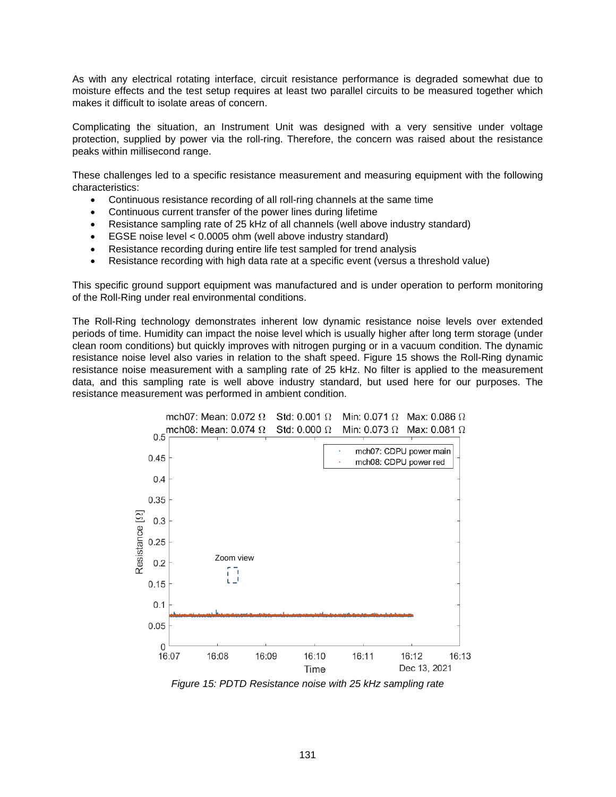As with any electrical rotating interface, circuit resistance performance is degraded somewhat due to moisture effects and the test setup requires at least two parallel circuits to be measured together which makes it difficult to isolate areas of concern.

Complicating the situation, an Instrument Unit was designed with a very sensitive under voltage protection, supplied by power via the roll-ring. Therefore, the concern was raised about the resistance peaks within millisecond range.

These challenges led to a specific resistance measurement and measuring equipment with the following characteristics:

- Continuous resistance recording of all roll-ring channels at the same time
- Continuous current transfer of the power lines during lifetime
- Resistance sampling rate of 25 kHz of all channels (well above industry standard)
- EGSE noise level < 0.0005 ohm (well above industry standard)
- Resistance recording during entire life test sampled for trend analysis
- Resistance recording with high data rate at a specific event (versus a threshold value)

This specific ground support equipment was manufactured and is under operation to perform monitoring of the Roll-Ring under real environmental conditions.

The Roll-Ring technology demonstrates inherent low dynamic resistance noise levels over extended periods of time. Humidity can impact the noise level which is usually higher after long term storage (under clean room conditions) but quickly improves with nitrogen purging or in a vacuum condition. The dynamic resistance noise level also varies in relation to the shaft speed. Figure 15 shows the Roll-Ring dynamic resistance noise measurement with a sampling rate of 25 kHz. No filter is applied to the measurement data, and this sampling rate is well above industry standard, but used here for our purposes. The resistance measurement was performed in ambient condition.



*Figure 15: PDTD Resistance noise with 25 kHz sampling rate*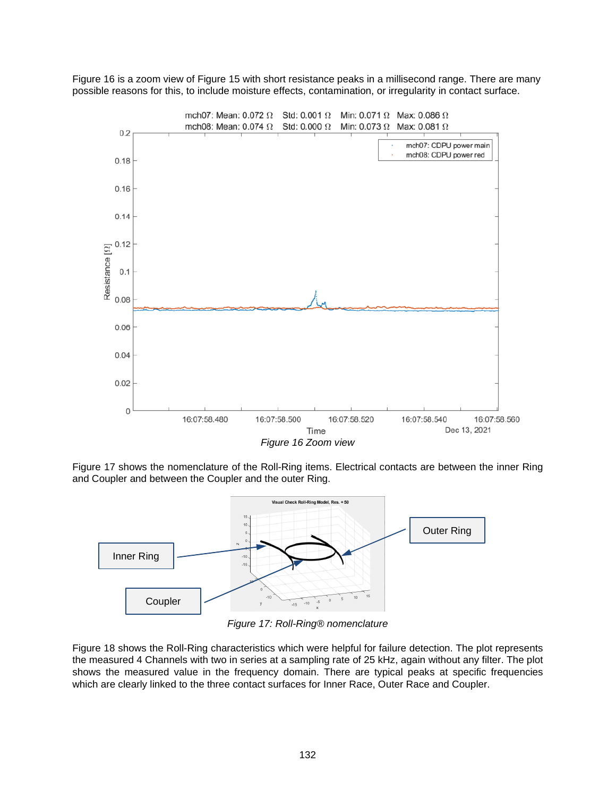Figure 16 is a zoom view of Figure 15 with short resistance peaks in a millisecond range. There are many possible reasons for this, to include moisture effects, contamination, or irregularity in contact surface.



Figure 17 shows the nomenclature of the Roll-Ring items. Electrical contacts are between the inner Ring and Coupler and between the Coupler and the outer Ring.



*Figure 17: Roll-Ring® nomenclature* 

Figure 18 shows the Roll-Ring characteristics which were helpful for failure detection. The plot represents the measured 4 Channels with two in series at a sampling rate of 25 kHz, again without any filter. The plot shows the measured value in the frequency domain. There are typical peaks at specific frequencies which are clearly linked to the three contact surfaces for Inner Race, Outer Race and Coupler.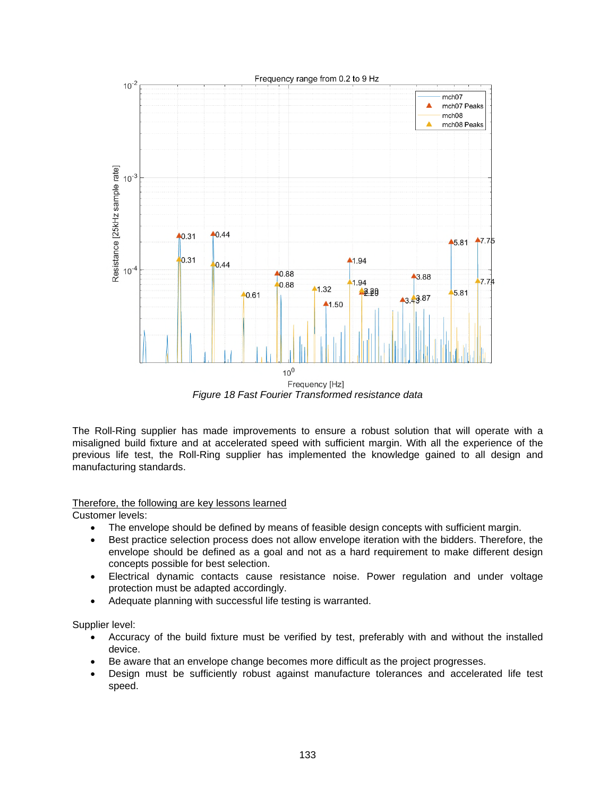

*Figure 18 Fast Fourier Transformed resistance data* 

The Roll-Ring supplier has made improvements to ensure a robust solution that will operate with a misaligned build fixture and at accelerated speed with sufficient margin. With all the experience of the previous life test, the Roll-Ring supplier has implemented the knowledge gained to all design and manufacturing standards.

## Therefore, the following are key lessons learned

Customer levels:

- The envelope should be defined by means of feasible design concepts with sufficient margin.
- Best practice selection process does not allow envelope iteration with the bidders. Therefore, the envelope should be defined as a goal and not as a hard requirement to make different design concepts possible for best selection.
- Electrical dynamic contacts cause resistance noise. Power regulation and under voltage protection must be adapted accordingly.
- Adequate planning with successful life testing is warranted.

Supplier level:

- Accuracy of the build fixture must be verified by test, preferably with and without the installed device.
- Be aware that an envelope change becomes more difficult as the project progresses.
- Design must be sufficiently robust against manufacture tolerances and accelerated life test speed.